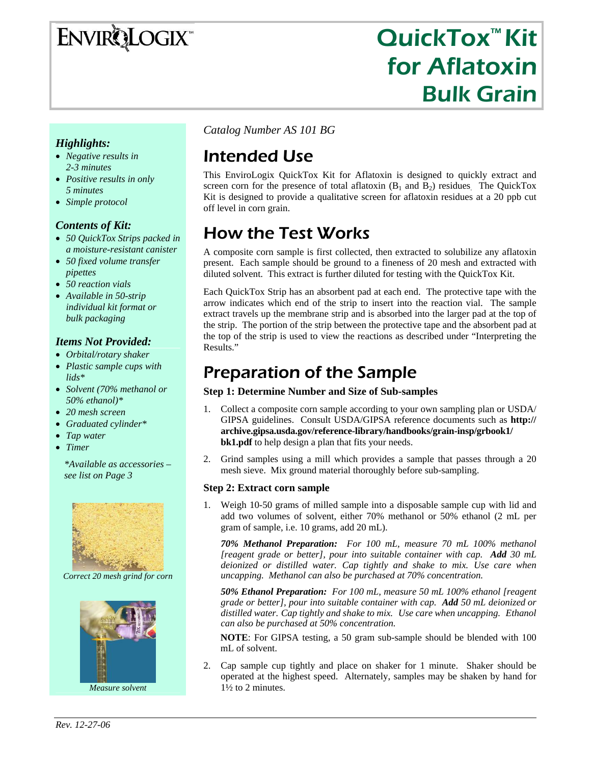# **ENVIRQLOGIX**

# QuickTox™ Kit for Aflatoxin Bulk Grain

#### *Highlights:*

- *Negative results in 2-3 minutes*
- *Positive results in only 5 minutes*
- *Simple protocol*

#### *Contents of Kit:*

- *50 QuickTox Strips packed in a moisture-resistant canister*
- *50 fixed volume transfer pipettes*
- *50 reaction vials*
- *Available in 50-strip individual kit format or bulk packaging*

#### *Items Not Provided:*

- *Orbital/rotary shaker*
- *Plastic sample cups with lids\**
- *Solvent (70% methanol or 50% ethanol)\**
- *20 mesh screen*
- *Graduated cylinder\**
- *Tap water*
- *Timer*

*\*Available as accessories – see list on Page 3* 



*Correct 20 mesh grind for corn* 



*Measure solvent* 

*Catalog Number AS 101 BG*

# Intended Use

This EnviroLogix QuickTox Kit for Aflatoxin is designed to quickly extract and screen corn for the presence of total aflatoxin  $(B_1 \text{ and } B_2)$  residues. The QuickTox Kit is designed to provide a qualitative screen for aflatoxin residues at a 20 ppb cut off level in corn grain.

# How the Test Works

A composite corn sample is first collected, then extracted to solubilize any aflatoxin present. Each sample should be ground to a fineness of 20 mesh and extracted with diluted solvent. This extract is further diluted for testing with the QuickTox Kit.

Each QuickTox Strip has an absorbent pad at each end. The protective tape with the arrow indicates which end of the strip to insert into the reaction vial. The sample extract travels up the membrane strip and is absorbed into the larger pad at the top of the strip. The portion of the strip between the protective tape and the absorbent pad at the top of the strip is used to view the reactions as described under "Interpreting the Results."

## Preparation of the Sample

#### **Step 1: Determine Number and Size of Sub-samples**

- 1. Collect a composite corn sample according to your own sampling plan or USDA/ GIPSA guidelines. Consult USDA/GIPSA reference documents such as **http:// archive.gipsa.usda.gov/reference-library/handbooks/grain-insp/grbook1/ bk1.pdf** to help design a plan that fits your needs.
- 2. Grind samples using a mill which provides a sample that passes through a 20 mesh sieve. Mix ground material thoroughly before sub-sampling.

#### **Step 2: Extract corn sample**

1. Weigh 10-50 grams of milled sample into a disposable sample cup with lid and add two volumes of solvent, either 70% methanol or 50% ethanol (2 mL per gram of sample, i.e. 10 grams, add 20 mL).

*70% Methanol Preparation: For 100 mL, measure 70 mL 100% methanol [reagent grade or better], pour into suitable container with cap. Add 30 mL deionized or distilled water. Cap tightly and shake to mix. Use care when uncapping. Methanol can also be purchased at 70% concentration.* 

*50% Ethanol Preparation: For 100 mL, measure 50 mL 100% ethanol [reagent grade or better], pour into suitable container with cap. Add 50 mL deionized or distilled water. Cap tightly and shake to mix. Use care when uncapping. Ethanol can also be purchased at 50% concentration.* 

**NOTE**: For GIPSA testing, a 50 gram sub-sample should be blended with 100 mL of solvent.

2. Cap sample cup tightly and place on shaker for 1 minute. Shaker should be operated at the highest speed. Alternately, samples may be shaken by hand for 1½ to 2 minutes.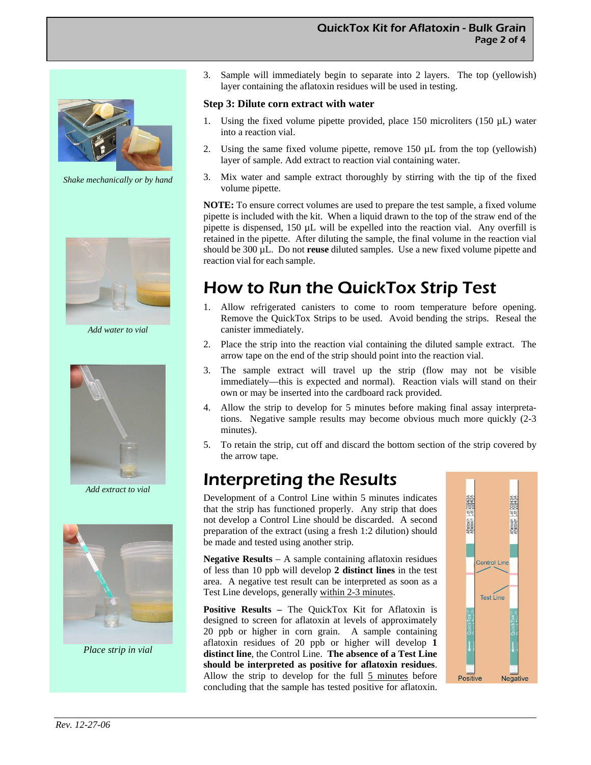

*Shake mechanically or by hand* 



*Add water to vial* 



*Add extract to vial* 



*Place strip in vial* 

3. Sample will immediately begin to separate into 2 layers. The top (yellowish) layer containing the aflatoxin residues will be used in testing.

#### **Step 3: Dilute corn extract with water**

- 1. Using the fixed volume pipette provided, place  $150$  microliters  $(150 \mu L)$  water into a reaction vial.
- 2. Using the same fixed volume pipette, remove 150 µL from the top (yellowish) layer of sample. Add extract to reaction vial containing water.
- 3. Mix water and sample extract thoroughly by stirring with the tip of the fixed volume pipette.

**NOTE:** To ensure correct volumes are used to prepare the test sample, a fixed volume pipette is included with the kit. When a liquid drawn to the top of the straw end of the pipette is dispensed, 150 µL will be expelled into the reaction vial. Any overfill is retained in the pipette. After diluting the sample, the final volume in the reaction vial should be 300 µL. Do not **reuse** diluted samples. Use a new fixed volume pipette and reaction vial for each sample.

## How to Run the QuickTox Strip Test

- 1. Allow refrigerated canisters to come to room temperature before opening. Remove the QuickTox Strips to be used. Avoid bending the strips. Reseal the canister immediately.
- 2. Place the strip into the reaction vial containing the diluted sample extract. The arrow tape on the end of the strip should point into the reaction vial.
- 3. The sample extract will travel up the strip (flow may not be visible immediately—this is expected and normal). Reaction vials will stand on their own or may be inserted into the cardboard rack provided.
- Allow the strip to develop for 5 minutes before making final assay interpretations. Negative sample results may become obvious much more quickly (2-3 minutes).
- 5. To retain the strip, cut off and discard the bottom section of the strip covered by the arrow tape.

### Interpreting the Results

Development of a Control Line within 5 minutes indicates that the strip has functioned properly. Any strip that does not develop a Control Line should be discarded. A second preparation of the extract (using a fresh 1:2 dilution) should be made and tested using another strip.

**Negative Results** – A sample containing aflatoxin residues of less than 10 ppb will develop **2 distinct lines** in the test area. A negative test result can be interpreted as soon as a Test Line develops, generally within 2-3 minutes.

**Positive Results –** The QuickTox Kit for Aflatoxin is designed to screen for aflatoxin at levels of approximately 20 ppb or higher in corn grain. A sample containing aflatoxin residues of 20 ppb or higher will develop **1 distinct line**, the Control Line. **The absence of a Test Line should be interpreted as positive for aflatoxin residues**. Allow the strip to develop for the full 5 minutes before concluding that the sample has tested positive for aflatoxin.

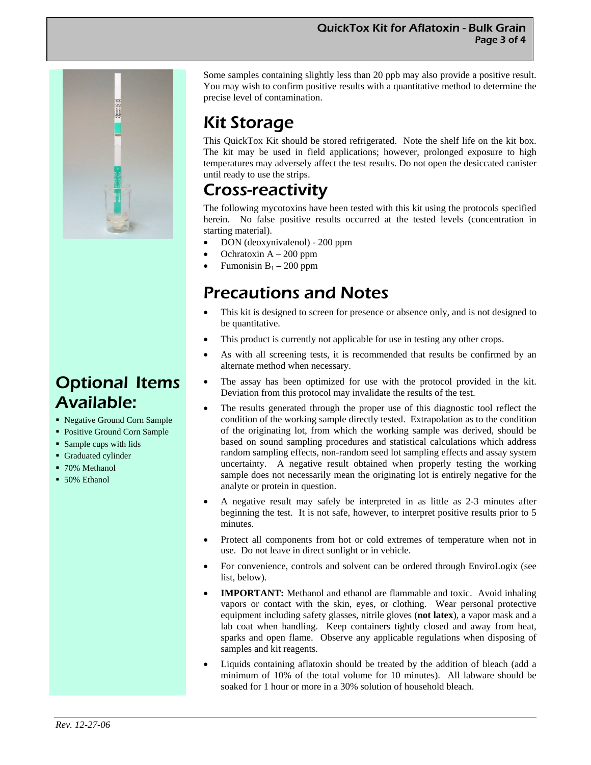

## Optional Items Available:

- Negative Ground Corn Sample
- Positive Ground Corn Sample
- Sample cups with lids
- **Graduated cylinder**
- 70% Methanol
- 50% Ethanol

Some samples containing slightly less than 20 ppb may also provide a positive result. You may wish to confirm positive results with a quantitative method to determine the precise level of contamination.

# Kit Storage

This QuickTox Kit should be stored refrigerated. Note the shelf life on the kit box. The kit may be used in field applications; however, prolonged exposure to high temperatures may adversely affect the test results. Do not open the desiccated canister until ready to use the strips.

### Cross-reactivity

The following mycotoxins have been tested with this kit using the protocols specified herein. No false positive results occurred at the tested levels (concentration in starting material).

- DON (deoxynivalenol) 200 ppm
- Ochratoxin  $A 200$  ppm
- Fumonisin  $B_1 200$  ppm

### Precautions and Notes

- This kit is designed to screen for presence or absence only, and is not designed to be quantitative.
- This product is currently not applicable for use in testing any other crops.
- As with all screening tests, it is recommended that results be confirmed by an alternate method when necessary.
- The assay has been optimized for use with the protocol provided in the kit. Deviation from this protocol may invalidate the results of the test.
- The results generated through the proper use of this diagnostic tool reflect the condition of the working sample directly tested. Extrapolation as to the condition of the originating lot, from which the working sample was derived, should be based on sound sampling procedures and statistical calculations which address random sampling effects, non-random seed lot sampling effects and assay system uncertainty. A negative result obtained when properly testing the working sample does not necessarily mean the originating lot is entirely negative for the analyte or protein in question.
- A negative result may safely be interpreted in as little as 2-3 minutes after beginning the test. It is not safe, however, to interpret positive results prior to 5 minutes.
- Protect all components from hot or cold extremes of temperature when not in use. Do not leave in direct sunlight or in vehicle.
- For convenience, controls and solvent can be ordered through EnviroLogix (see list, below).
- **IMPORTANT:** Methanol and ethanol are flammable and toxic. Avoid inhaling vapors or contact with the skin, eyes, or clothing. Wear personal protective equipment including safety glasses, nitrile gloves (**not latex**), a vapor mask and a lab coat when handling. Keep containers tightly closed and away from heat, sparks and open flame. Observe any applicable regulations when disposing of samples and kit reagents.
- Liquids containing aflatoxin should be treated by the addition of bleach (add a minimum of 10% of the total volume for 10 minutes). All labware should be soaked for 1 hour or more in a 30% solution of household bleach.